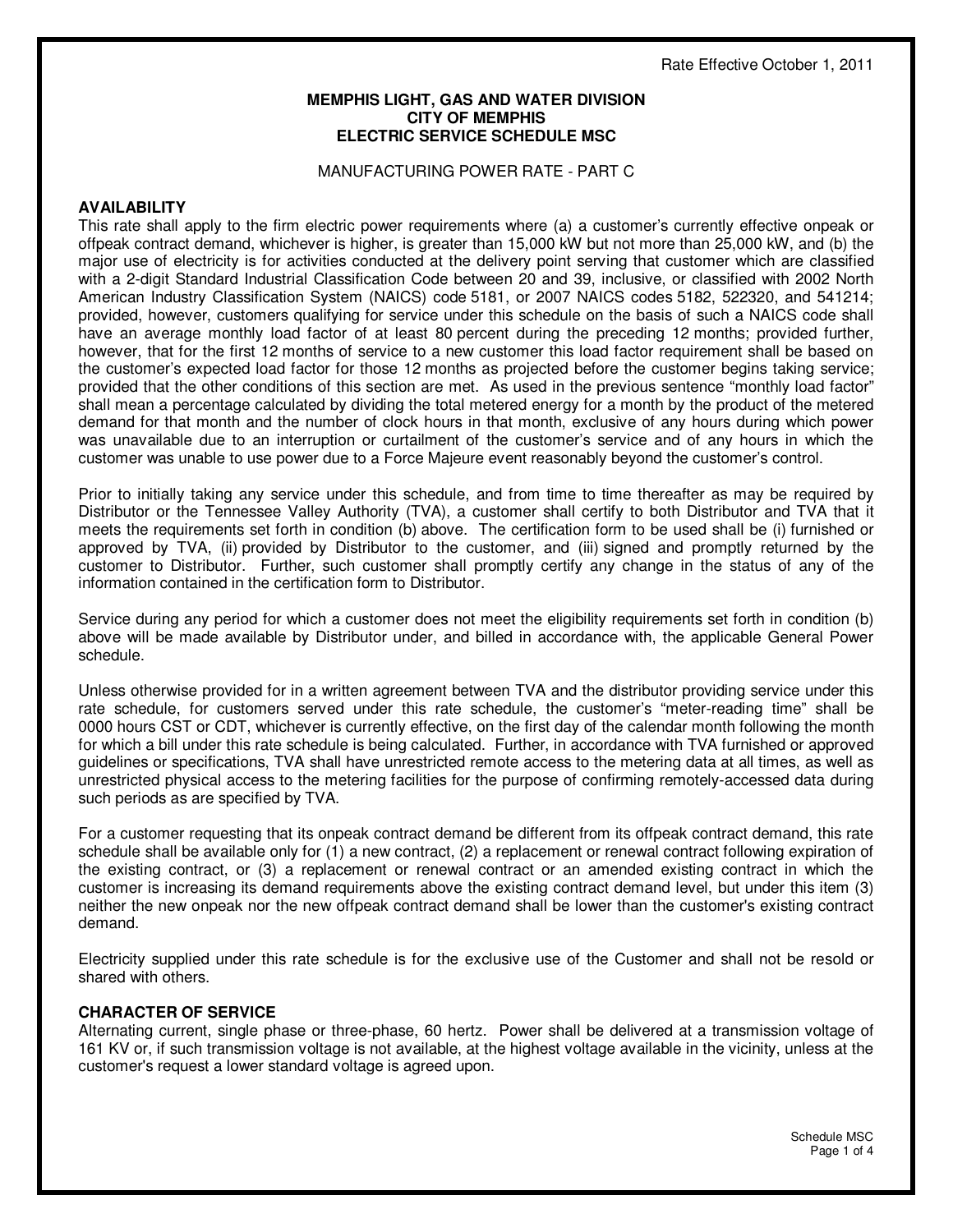### **MEMPHIS LIGHT, GAS AND WATER DIVISION CITY OF MEMPHIS ELECTRIC SERVICE SCHEDULE MSC**

### MANUFACTURING POWER RATE - PART C

### **AVAILABILITY**

This rate shall apply to the firm electric power requirements where (a) a customer's currently effective onpeak or offpeak contract demand, whichever is higher, is greater than 15,000 kW but not more than 25,000 kW, and (b) the major use of electricity is for activities conducted at the delivery point serving that customer which are classified with a 2-digit Standard Industrial Classification Code between 20 and 39, inclusive, or classified with 2002 North American Industry Classification System (NAICS) code 5181, or 2007 NAICS codes 5182, 522320, and 541214; provided, however, customers qualifying for service under this schedule on the basis of such a NAICS code shall have an average monthly load factor of at least 80 percent during the preceding 12 months; provided further, however, that for the first 12 months of service to a new customer this load factor requirement shall be based on the customer's expected load factor for those 12 months as projected before the customer begins taking service; provided that the other conditions of this section are met. As used in the previous sentence "monthly load factor" shall mean a percentage calculated by dividing the total metered energy for a month by the product of the metered demand for that month and the number of clock hours in that month, exclusive of any hours during which power was unavailable due to an interruption or curtailment of the customer's service and of any hours in which the customer was unable to use power due to a Force Majeure event reasonably beyond the customer's control.

Prior to initially taking any service under this schedule, and from time to time thereafter as may be required by Distributor or the Tennessee Valley Authority (TVA), a customer shall certify to both Distributor and TVA that it meets the requirements set forth in condition (b) above. The certification form to be used shall be (i) furnished or approved by TVA, (ii) provided by Distributor to the customer, and (iii) signed and promptly returned by the customer to Distributor. Further, such customer shall promptly certify any change in the status of any of the information contained in the certification form to Distributor.

Service during any period for which a customer does not meet the eligibility requirements set forth in condition (b) above will be made available by Distributor under, and billed in accordance with, the applicable General Power schedule.

Unless otherwise provided for in a written agreement between TVA and the distributor providing service under this rate schedule, for customers served under this rate schedule, the customer's "meter-reading time" shall be 0000 hours CST or CDT, whichever is currently effective, on the first day of the calendar month following the month for which a bill under this rate schedule is being calculated. Further, in accordance with TVA furnished or approved guidelines or specifications, TVA shall have unrestricted remote access to the metering data at all times, as well as unrestricted physical access to the metering facilities for the purpose of confirming remotely-accessed data during such periods as are specified by TVA.

For a customer requesting that its onpeak contract demand be different from its offpeak contract demand, this rate schedule shall be available only for (1) a new contract, (2) a replacement or renewal contract following expiration of the existing contract, or (3) a replacement or renewal contract or an amended existing contract in which the customer is increasing its demand requirements above the existing contract demand level, but under this item (3) neither the new onpeak nor the new offpeak contract demand shall be lower than the customer's existing contract demand.

Electricity supplied under this rate schedule is for the exclusive use of the Customer and shall not be resold or shared with others.

### **CHARACTER OF SERVICE**

Alternating current, single phase or three-phase, 60 hertz. Power shall be delivered at a transmission voltage of 161 KV or, if such transmission voltage is not available, at the highest voltage available in the vicinity, unless at the customer's request a lower standard voltage is agreed upon.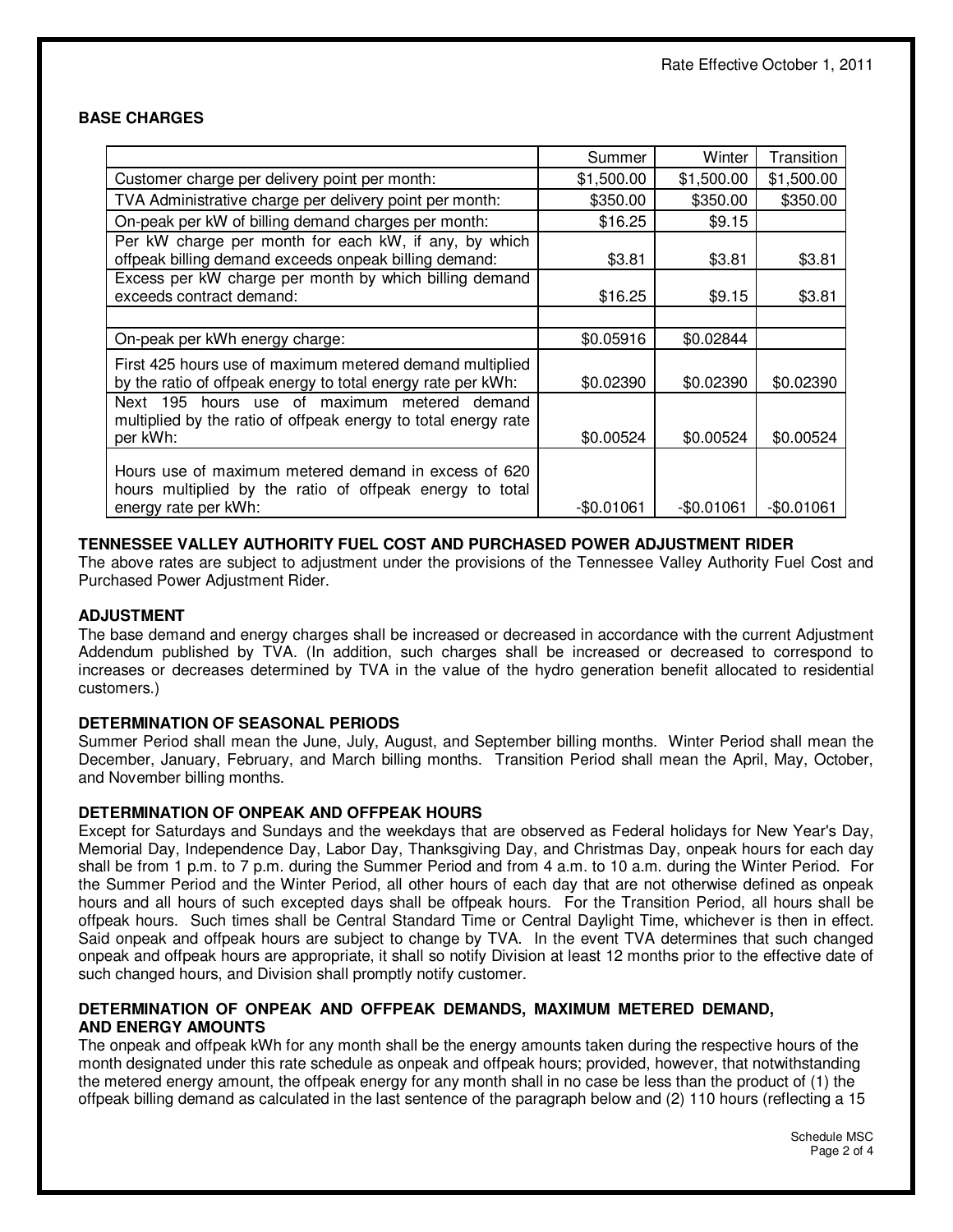# **BASE CHARGES**

|                                                                                                                                          | Summer      | Winter      | Transition  |
|------------------------------------------------------------------------------------------------------------------------------------------|-------------|-------------|-------------|
| Customer charge per delivery point per month:                                                                                            | \$1,500.00  | \$1,500.00  | \$1,500.00  |
| TVA Administrative charge per delivery point per month:                                                                                  | \$350.00    | \$350.00    | \$350.00    |
| On-peak per kW of billing demand charges per month:                                                                                      | \$16.25     | \$9.15      |             |
| Per kW charge per month for each kW, if any, by which<br>offpeak billing demand exceeds onpeak billing demand:                           | \$3.81      | \$3.81      | \$3.81      |
| Excess per kW charge per month by which billing demand<br>exceeds contract demand:                                                       | \$16.25     | \$9.15      | \$3.81      |
|                                                                                                                                          |             |             |             |
| On-peak per kWh energy charge:                                                                                                           | \$0.05916   | \$0.02844   |             |
| First 425 hours use of maximum metered demand multiplied<br>by the ratio of offpeak energy to total energy rate per kWh:                 | \$0.02390   | \$0.02390   | \$0.02390   |
| hours use of maximum metered demand<br>Next 195<br>multiplied by the ratio of offpeak energy to total energy rate<br>per kWh:            | \$0.00524   | \$0.00524   | \$0.00524   |
| Hours use of maximum metered demand in excess of 620<br>hours multiplied by the ratio of offpeak energy to total<br>energy rate per kWh: | $-$0.01061$ | $-$0.01061$ | $-$0.01061$ |

# **TENNESSEE VALLEY AUTHORITY FUEL COST AND PURCHASED POWER ADJUSTMENT RIDER**

The above rates are subject to adjustment under the provisions of the Tennessee Valley Authority Fuel Cost and Purchased Power Adjustment Rider.

### **ADJUSTMENT**

The base demand and energy charges shall be increased or decreased in accordance with the current Adjustment Addendum published by TVA. (In addition, such charges shall be increased or decreased to correspond to increases or decreases determined by TVA in the value of the hydro generation benefit allocated to residential customers.)

# **DETERMINATION OF SEASONAL PERIODS**

Summer Period shall mean the June, July, August, and September billing months. Winter Period shall mean the December, January, February, and March billing months. Transition Period shall mean the April, May, October, and November billing months.

# **DETERMINATION OF ONPEAK AND OFFPEAK HOURS**

Except for Saturdays and Sundays and the weekdays that are observed as Federal holidays for New Year's Day, Memorial Day, Independence Day, Labor Day, Thanksgiving Day, and Christmas Day, onpeak hours for each day shall be from 1 p.m. to 7 p.m. during the Summer Period and from 4 a.m. to 10 a.m. during the Winter Period. For the Summer Period and the Winter Period, all other hours of each day that are not otherwise defined as onpeak hours and all hours of such excepted days shall be offpeak hours. For the Transition Period, all hours shall be offpeak hours. Such times shall be Central Standard Time or Central Daylight Time, whichever is then in effect. Said onpeak and offpeak hours are subject to change by TVA. In the event TVA determines that such changed onpeak and offpeak hours are appropriate, it shall so notify Division at least 12 months prior to the effective date of such changed hours, and Division shall promptly notify customer.

### **DETERMINATION OF ONPEAK AND OFFPEAK DEMANDS, MAXIMUM METERED DEMAND, AND ENERGY AMOUNTS**

The onpeak and offpeak kWh for any month shall be the energy amounts taken during the respective hours of the month designated under this rate schedule as onpeak and offpeak hours; provided, however, that notwithstanding the metered energy amount, the offpeak energy for any month shall in no case be less than the product of (1) the offpeak billing demand as calculated in the last sentence of the paragraph below and (2) 110 hours (reflecting a 15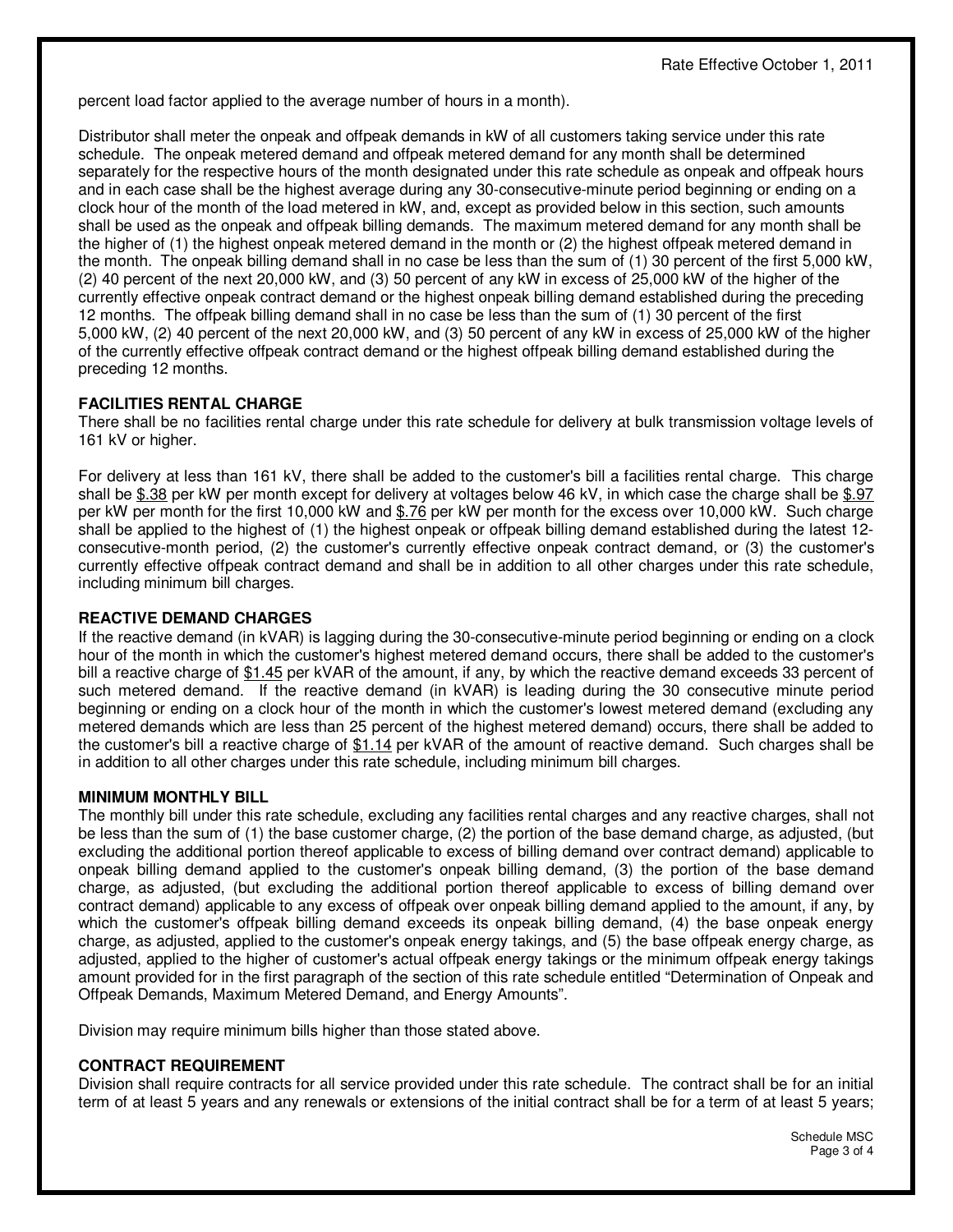percent load factor applied to the average number of hours in a month).

Distributor shall meter the onpeak and offpeak demands in kW of all customers taking service under this rate schedule. The onpeak metered demand and offpeak metered demand for any month shall be determined separately for the respective hours of the month designated under this rate schedule as onpeak and offpeak hours and in each case shall be the highest average during any 30-consecutive-minute period beginning or ending on a clock hour of the month of the load metered in kW, and, except as provided below in this section, such amounts shall be used as the onpeak and offpeak billing demands. The maximum metered demand for any month shall be the higher of (1) the highest onpeak metered demand in the month or (2) the highest offpeak metered demand in the month. The onpeak billing demand shall in no case be less than the sum of (1) 30 percent of the first 5,000 kW, (2) 40 percent of the next 20,000 kW, and (3) 50 percent of any kW in excess of 25,000 kW of the higher of the currently effective onpeak contract demand or the highest onpeak billing demand established during the preceding 12 months. The offpeak billing demand shall in no case be less than the sum of (1) 30 percent of the first 5,000 kW, (2) 40 percent of the next 20,000 kW, and (3) 50 percent of any kW in excess of 25,000 kW of the higher of the currently effective offpeak contract demand or the highest offpeak billing demand established during the preceding 12 months.

# **FACILITIES RENTAL CHARGE**

There shall be no facilities rental charge under this rate schedule for delivery at bulk transmission voltage levels of 161 kV or higher.

For delivery at less than 161 kV, there shall be added to the customer's bill a facilities rental charge. This charge shall be \$.38 per kW per month except for delivery at voltages below 46 kV, in which case the charge shall be \$.97 per kW per month for the first 10,000 kW and \$.76 per kW per month for the excess over 10,000 kW. Such charge shall be applied to the highest of (1) the highest onpeak or offpeak billing demand established during the latest 12 consecutive-month period, (2) the customer's currently effective onpeak contract demand, or (3) the customer's currently effective offpeak contract demand and shall be in addition to all other charges under this rate schedule, including minimum bill charges.

### **REACTIVE DEMAND CHARGES**

If the reactive demand (in kVAR) is lagging during the 30-consecutive-minute period beginning or ending on a clock hour of the month in which the customer's highest metered demand occurs, there shall be added to the customer's bill a reactive charge of \$1.45 per kVAR of the amount, if any, by which the reactive demand exceeds 33 percent of such metered demand. If the reactive demand (in kVAR) is leading during the 30 consecutive minute period beginning or ending on a clock hour of the month in which the customer's lowest metered demand (excluding any metered demands which are less than 25 percent of the highest metered demand) occurs, there shall be added to the customer's bill a reactive charge of \$1.14 per kVAR of the amount of reactive demand. Such charges shall be in addition to all other charges under this rate schedule, including minimum bill charges.

# **MINIMUM MONTHLY BILL**

The monthly bill under this rate schedule, excluding any facilities rental charges and any reactive charges, shall not be less than the sum of (1) the base customer charge, (2) the portion of the base demand charge, as adjusted, (but excluding the additional portion thereof applicable to excess of billing demand over contract demand) applicable to onpeak billing demand applied to the customer's onpeak billing demand, (3) the portion of the base demand charge, as adjusted, (but excluding the additional portion thereof applicable to excess of billing demand over contract demand) applicable to any excess of offpeak over onpeak billing demand applied to the amount, if any, by which the customer's offpeak billing demand exceeds its onpeak billing demand, (4) the base onpeak energy charge, as adjusted, applied to the customer's onpeak energy takings, and (5) the base offpeak energy charge, as adjusted, applied to the higher of customer's actual offpeak energy takings or the minimum offpeak energy takings amount provided for in the first paragraph of the section of this rate schedule entitled "Determination of Onpeak and Offpeak Demands, Maximum Metered Demand, and Energy Amounts".

Division may require minimum bills higher than those stated above.

# **CONTRACT REQUIREMENT**

Division shall require contracts for all service provided under this rate schedule. The contract shall be for an initial term of at least 5 years and any renewals or extensions of the initial contract shall be for a term of at least 5 years;